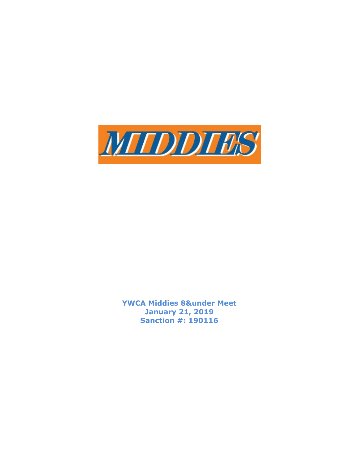

YWCA Middies 8&under Meet January 21, 2019 Sanction #: 190116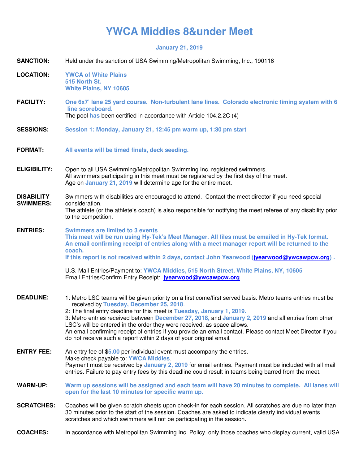## **YWCA Middies 8&under Meet**

**January 21, 2019** 

| <b>SANCTION:</b>                      | Held under the sanction of USA Swimming/Metropolitan Swimming, Inc., 190116                                                                                                                                                                                                                                                                                                                                                                                                                                                                                                                           |  |  |
|---------------------------------------|-------------------------------------------------------------------------------------------------------------------------------------------------------------------------------------------------------------------------------------------------------------------------------------------------------------------------------------------------------------------------------------------------------------------------------------------------------------------------------------------------------------------------------------------------------------------------------------------------------|--|--|
| <b>LOCATION:</b>                      | <b>YWCA of White Plains</b><br>515 North St.<br><b>White Plains, NY 10605</b>                                                                                                                                                                                                                                                                                                                                                                                                                                                                                                                         |  |  |
| <b>FACILITY:</b>                      | One 6x7' lane 25 yard course. Non-turbulent lane lines. Colorado electronic timing system with 6<br>line scoreboard.<br>The pool has been certified in accordance with Article 104.2.2C (4)                                                                                                                                                                                                                                                                                                                                                                                                           |  |  |
| <b>SESSIONS:</b>                      | Session 1: Monday, January 21, 12:45 pm warm up, 1:30 pm start                                                                                                                                                                                                                                                                                                                                                                                                                                                                                                                                        |  |  |
| <b>FORMAT:</b>                        | All events will be timed finals, deck seeding.                                                                                                                                                                                                                                                                                                                                                                                                                                                                                                                                                        |  |  |
| <b>ELIGIBILITY:</b>                   | Open to all USA Swimming/Metropolitan Swimming Inc. registered swimmers.<br>All swimmers participating in this meet must be registered by the first day of the meet.<br>Age on January 21, 2019 will determine age for the entire meet.                                                                                                                                                                                                                                                                                                                                                               |  |  |
| <b>DISABILITY</b><br><b>SWIMMERS:</b> | Swimmers with disabilities are encouraged to attend. Contact the meet director if you need special<br>consideration.<br>The athlete (or the athlete's coach) is also responsible for notifying the meet referee of any disability prior<br>to the competition.                                                                                                                                                                                                                                                                                                                                        |  |  |
| <b>ENTRIES:</b>                       | <b>Swimmers are limited to 3 events</b><br>This meet will be run using Hy-Tek's Meet Manager. All files must be emailed in Hy-Tek format.<br>An email confirming receipt of entries along with a meet manager report will be returned to the<br>coach.<br>If this report is not received within 2 days, contact John Yearwood (jvearwood@ywcawpcw.org).<br>U.S. Mail Entries/Payment to: YWCA Middies, 515 North Street, White Plains, NY, 10605<br>Email Entries/Confirm Entry Receipt: jyearwood@ywcawpcw.org                                                                                       |  |  |
| <b>DEADLINE:</b>                      | 1: Metro LSC teams will be given priority on a first come/first served basis. Metro teams entries must be<br>received by Tuesday, December 25, 2018.<br>2: The final entry deadline for this meet is Tuesday, January 1, 2019.<br>3: Metro entries received between December 27, 2018, and January 2, 2019 and all entries from other<br>LSC's will be entered in the order they were received, as space allows.<br>An email confirming receipt of entries if you provide an email contact. Please contact Meet Director if you<br>do not receive such a report within 2 days of your original email. |  |  |
| <b>ENTRY FEE:</b>                     | An entry fee of \$5.00 per individual event must accompany the entries.<br>Make check payable to: YWCA Middies.<br>Payment must be received by January 2, 2019 for email entries. Payment must be included with all mail<br>entries. Failure to pay entry fees by this deadline could result in teams being barred from the meet.                                                                                                                                                                                                                                                                     |  |  |
| <b>WARM-UP:</b>                       | Warm up sessions will be assigned and each team will have 20 minutes to complete. All lanes will<br>open for the last 10 minutes for specific warm up.                                                                                                                                                                                                                                                                                                                                                                                                                                                |  |  |
| <b>SCRATCHES:</b>                     | Coaches will be given scratch sheets upon check-in for each session. All scratches are due no later than<br>30 minutes prior to the start of the session. Coaches are asked to indicate clearly individual events<br>scratches and which swimmers will not be participating in the session.                                                                                                                                                                                                                                                                                                           |  |  |
|                                       |                                                                                                                                                                                                                                                                                                                                                                                                                                                                                                                                                                                                       |  |  |

**COACHES:** In accordance with Metropolitan Swimming Inc. Policy, only those coaches who display current, valid USA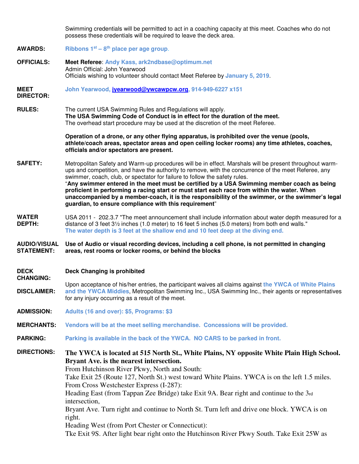Swimming credentials will be permitted to act in a coaching capacity at this meet. Coaches who do not possess these credentials will be required to leave the deck area.

**AWARDS: Ribbons 1st – 8 th place per age group**.

**OFFICIALS: Meet Referee**: **Andy Kass, ark2ndbase@optimum.net** Admin Official: John Yearwood Officials wishing to volunteer should contact Meet Referee by **January 5, 2019**.

**MEET John Yearwood, jyearwood@ywcawpcw.org, 914-949-6227 x151**

**DIRECTOR:** 

**RULES:** The current USA Swimming Rules and Regulations will apply. **The USA Swimming Code of Conduct is in effect for the duration of the meet.** The overhead start procedure may be used at the discretion of the meet Referee.

> **Operation of a drone, or any other flying apparatus, is prohibited over the venue (pools, athlete/coach areas, spectator areas and open ceiling locker rooms) any time athletes, coaches, officials and/or spectators are present.**

- **SAFETY:** Metropolitan Safety and Warm-up procedures will be in effect. Marshals will be present throughout warmups and competition, and have the authority to remove, with the concurrence of the meet Referee, any swimmer, coach, club, or spectator for failure to follow the safety rules. "**Any swimmer entered in the meet must be certified by a USA Swimming member coach as being proficient in performing a racing start or must start each race from within the water. When unaccompanied by a member-coach, it is the responsibility of the swimmer, or the swimmer's legal guardian, to ensure compliance with this requirement**"
- **WATER DEPTH:**  USA 2011 - 202.3.7 "The meet announcement shall include information about water depth measured for a distance of 3 feet 3½ inches (1.0 meter) to 16 feet 5 inches (5.0 meters) from both end walls." **The water depth is 3 feet at the shallow end and 10 feet deep at the diving end.**

## **AUDIO/VISUAL STATEMENT: Use of Audio or visual recording devices, including a cell phone, is not permitted in changing areas, rest rooms or locker rooms, or behind the blocks**

- **DECK CHANGING: Deck Changing is prohibited**
- **DISCLAIMER:**  Upon acceptance of his/her entries, the participant waives all claims against **the YWCA of White Plains and the YWCA Middies**, Metropolitan Swimming Inc., USA Swimming Inc., their agents or representatives for any injury occurring as a result of the meet.
- **ADMISSION: Adults (16 and over): \$5, Programs: \$3**
- **MERCHANTS: Vendors will be at the meet selling merchandise. Concessions will be provided.**
- **PARKING: Parking is available in the back of the YWCA. NO CARS to be parked in front.**

## **DIRECTIONS: The YWCA is located at 515 North St., White Plains, NY opposite White Plain High School. Bryant Ave. is the nearest intersection.**

From Hutchinson River Pkwy, North and South:

Take Exit 25 (Route 127, North St.) west toward White Plains. YWCA is on the left 1.5 miles. From Cross Westchester Express (I-287):

Heading East (from Tappan Zee Bridge) take Exit 9A. Bear right and continue to the 3rd intersection,

Bryant Ave. Turn right and continue to North St. Turn left and drive one block. YWCA is on right.

Heading West (from Port Chester or Connecticut):

Tke Exit 9S. After light bear right onto the Hutchinson River Pkwy South. Take Exit 25W as